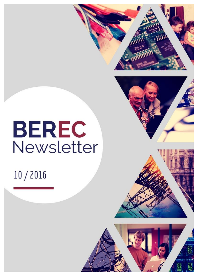



# **BEREC** Newsletter

# 10/2016

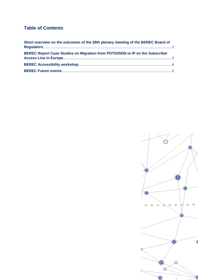## **Table of Contents**

| Short overview on the outcomes of the 28th plenary meeting of the BEREC Board of |  |
|----------------------------------------------------------------------------------|--|
| BEREC Report Case Studies on Migration from POTS/ISDN to IP on the Subscriber    |  |
|                                                                                  |  |
|                                                                                  |  |

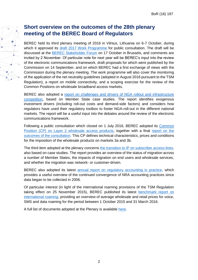## <span id="page-2-0"></span>**Short overview on the outcomes of the 28th plenary meeting of the BEREC Board of Regulators**

BEREC held its third plenary meeting of 2016 in Vilnius, Lithuania on 6-7 October, during which it approved its [draft 2017 Work Programme](http://berec.europa.eu/eng/document_register/subject_matter/berec/public_consultations/6475-draft-berec-work-programme-2017) for public consultation. The draft will be discussed at the [BEREC Stakeholder Forum](http://berec.europa.eu/eng/events/berec_events_2016/124-4th-berec-stakeholder-forum-meeting) on 17 October in Brussels, and comments are invited by 2 November. Of particular note for next year will be BEREC's input into the review of the electronic communications framework, draft proposals for which were published by the Commission on 14 September, and on which BEREC had a first exchange of views with the Commission during the plenary meeting. The work programme will also cover the monitoring of the application of the net neutrality guidelines (adopted in August 2016 pursuant to the TSM Regulation), a report on mobile connectivity, and a scoping exercise for the review of the Common Positions on wholesale broadband access markets.

BEREC also adopted a [report on challenges and drivers of NGA rollout and infrastructure](http://berec.europa.eu/eng/document_register/subject_matter/berec/reports/6488-berec-report-challenges-and-drivers-of-nga-rollout-and-infrastructure-competition)  [competition,](http://berec.europa.eu/eng/document_register/subject_matter/berec/reports/6488-berec-report-challenges-and-drivers-of-nga-rollout-and-infrastructure-competition) based on Member State case studies. The report identifies exogenous investment drivers (including roll-out costs and demand-side factors) and considers how regulators have used their regulatory toolbox to foster NGA-roll-out in the different national markets. The report will be a useful input into the debates around the review of the electronic communications framework.

Following a public consultation which closed on 1 July 2016, BEREC adopted its [Common](http://berec.europa.eu/eng/document_register/subject_matter/berec/regulatory_best_practices/common_approaches_positions/6482-berec-common-position-on-layer-2-wholesale-access-products)  [Position \(CP\) on Layer 2 wholesale access products,](http://berec.europa.eu/eng/document_register/subject_matter/berec/regulatory_best_practices/common_approaches_positions/6482-berec-common-position-on-layer-2-wholesale-access-products) together with a final report on the [outcomes of the consultation.](http://berec.europa.eu/eng/document_register/subject_matter/berec/reports/6481-berec-report-on-the-outcome-of-the-public-consultation-on-the-draft-berec-common-position-on-layer-2-wholesale-access-products) This CP defines technical characteristics, prices and conditions for the imposition of the wholesale products on markets 3a and 3b.

The third item adopted at the plenary concerns [the transition to IP on subscriber access lines,](http://berec.europa.eu/eng/document_register/subject_matter/berec/reports/6486-berec-report-case-studies-on-migration-from-potsisdn-to-ip-on-the-subscriber-access-line-in-europe) also based on case studies. The report provides an overview of the status of migration across a number of Member States, the impacts of migration on end users and wholesale services, and whether the migration was network- or customer-driven.

BEREC also adopted its latest [annual report on regulatory accounting in practice,](http://berec.europa.eu/eng/document_register/subject_matter/berec/reports/6479-berec-report-regulatory-accounting-in-practice-2016) which provides a useful overview of the continued convergence of NRA accounting practices since data began to be collected in 2006.

Of particular interest (in light of the international roaming provisions of the TSM Regulation taking effect on 25 November 2015), BEREC published its latest [benchmark report on](http://berec.europa.eu/eng/document_register/subject_matter/berec/reports/6480-international-roaming-berec-benchmark-data-report-october-2015-8211-march-2016)  [international roaming,](http://berec.europa.eu/eng/document_register/subject_matter/berec/reports/6480-international-roaming-berec-benchmark-data-report-october-2015-8211-march-2016) providing an overview of average wholesale and retail prices for voice, SMS and data roaming for the period between 1 October 2015 and 31 March 2016.

A full list of documents adopted at the Plenary is available [here.](http://berec.europa.eu/eng/events/berec_events_2016/110-28th-berec-plenary-meeting-in-vilnius)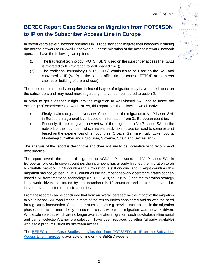# <span id="page-3-0"></span>**BEREC Report Case Studies on Migration from POTS/ISDN to IP on the Subscriber Access Line in Europe**

In recent years several network operators in Europe started to migrate their networks including the access network to NGN/all-IP networks. For the migration of the access network, network operators have the following two options:

- (1) The traditional technology (POTS, ISDN) used on the subscriber access line (SAL) is migrated to IP (migration to VoIP-based SAL);
- (2) The traditional technology (POTS, ISDN) continues to be used on the SAL and converted to IP (VoIP) at the central office (in the case of FTTC/B at the street cabinet or building of the end-user).

The focus of this report is on option 1 since this type of migration may have more impact on the subscribers and may need more regulatory intervention compared to option 2.

In order to get a deeper insight into the migration to VoIP-based SAL and to foster the exchange of experiences between NRAs, this report has the following two objectives:

- Firstly, it aims to give an overview of the status of the migration to VoIP-based SAL in Europe on a general level based on information from 31 European countries.
- Secondly, it aims to give an overview of the migration to VoIP-based SAL in the network of the incumbent which have already taken place (at least to some extent) based on the experiences of ten countries (Croatia, Germany, Italy, Luxembourg, Montenegro, Netherlands, Slovakia, Slovenia, Spain and Switzerland).

The analysis of the report is descriptive and does not aim to be normative or to recommend best practice.

The report reveals the status of migration to NGN/all-IP networks and VoIP-based SAL in Europe as follows. In seven countries the incumbent has already finished the migration to an NGN/all-IP network, in 16 countries this migration is still ongoing and in eight countries this migration has not yet begun. In 16 countries the incumbent network operator migrates copperbased SAL from traditional technology (POTS, ISDN) to IP (VoIP) and the migration strategy is network driven, i.e. forced by the incumbent in 12 countries and customer driven, i.e. initiated by the customers in six countries.

From the report it can be concluded that from an overall perspective the impact of the migration to VoIP-based SAL was limited in most of the ten countries considered and so was the need for regulatory intervention. Consumer issues such as e.g. service interruptions in the migration phase seem to be more likely to occur in cases where the migration was network driven. Wholesale services which are no longer available after migration, such as wholesale line rental and carrier selection/carrier pre-selection, have been replaced by other (already available) wholesale products, such as bitstream access.

The [BEREC report Case Studies on Migration from POTS/ISDN to IP on the Subscriber](http://berec.europa.eu/eng/document_register/subject_matter/berec/reports/6486-berec-report-case-studies-on-migration-from-potsisdn-to-ip-on-the-subscriber-access-line-in-europe)  [Access Line in Europe](http://berec.europa.eu/eng/document_register/subject_matter/berec/reports/6486-berec-report-case-studies-on-migration-from-potsisdn-to-ip-on-the-subscriber-access-line-in-europe) is available online on the BEREC website.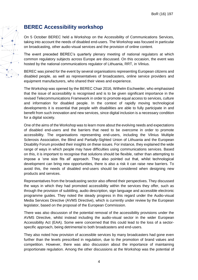

# <span id="page-4-0"></span>**BEREC Accessibility workshop**

On 5 October BEREC held a Workshop on the Accessibility of Communications Services, taking into account the needs of disabled end-users. The Workshop was focused in particular on broadcasting, other audio-visual services and the provision of online content.

The event preceded BEREC's quarterly plenary meeting of national regulators at which common regulatory subjects across Europe are discussed. On this occasion, the event was hosted by the national communications regulator of Lithuania, RRT, in Vilnius.

BEREC was joined for the event by several organisations representing European citizens and disabled people, as well as representatives of broadcasters, online service providers and equipment manufacturers, who shared their views and experience.

The Workshop was opened by the BEREC Chair 2016, Wilhelm Eschweiler, who emphasised that the issue of accessibility is recognised and is to be given significant importance in the revised Telecommunications Framework in order to promote equal access to services, culture and information for disabled people. In the context of rapidly moving technological developments it is essential that people with disabilities are able to fully participate in and benefit from such innovation and new services, since digital inclusion is a necessary condition for a digital society.

One of the aims of the Workshop was to learn more about the evolving needs and expectations of disabled end-users and the barriers that need to be overcome in order to promote accessibility. The organisations representing end-users, including the Vilnius Multiple Sclerosis Association, the Blind and Partially-Sighted Union of Lithuania and the European Disability Forum provided their insights on these issues. For instance, they explained the wide range of ways in which people may have difficulties using communications services. Based on this, it is important to recognise that solutions should be flexible, rather than attempting to impose a 'one size fits all' approach. They also pointed out that, whilst technological development can bring new opportunities, there is also a risk it can raise new barriers. To avoid this, the needs of disabled end-users should be considered when designing new products and services.

Representatives from the broadcasting sector also offered their perspectives. They discussed the ways in which they had promoted accessibility within the services they offer, such as through the provision of subtitling, audio description, sign language and accessible electronic programme guides. They noted the steady progress in this regard under the Audio-visual Media Services Directive (AVMS Directive), which is currently under review by the European legislator, based on the proposal of the European Commission.

There was also discussion of the potential removal of the accessibility provisions under the AVMS Directive, whilst instead including the audio-visual sector in the wider European Accessibility Act (EAA). Some were concerned that this could lead to the loss of a sectorspecific approach, being detrimental to both broadcasters and end-users.

They also noted how provision of accessible services by many broadcasters had gone even further than the levels prescribed in regulation, due to the promotion of brand values and competition. However, there was also discussion about the importance of maintaining proportionate regulation. Among the other discussions at the Workshop was the potential of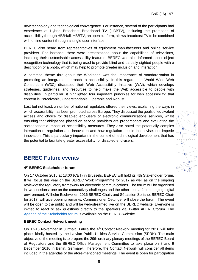new technology and technological convergence. For instance, several of the participants had experience of Hybrid Broadcast Broadband TV (HBBTV), including the promotion of accessibility through HBB4all. HBBTV, an open platform, allows broadcast TV to be combined with online content through a single user interface.

BEREC also heard from representatives of equipment manufacturers and online service providers. For instance, there were presentations about the capabilities of televisions, including their customisable accessibility features. BEREC was also informed about object recognition technology that is being used to provide blind and partially-sighted people with a description of a photo, which may help to promote greater inclusion and interaction.

A common theme throughout the Workshop was the importance of standardisation in promoting an integrated approach to accessibility. In this regard, the World Wide Web Consortium (W3C) discussed their Web Accessibility Initiative (WAI), which develops strategies, guidelines, and resources to help make the Web accessible to people with disabilities. In particular, it highlighted four important principles for web accessibility: that content is Perceivable, Understandable, Operable and Robust.

Last but not least, a number of national regulators offered their views, explaining the ways in which accessibility has been promoted across Europe. They discussed the goals of equivalent access and choice for disabled end-users of electronic communications services, whilst ensuring that obligations placed on service providers are proportionate and evaluating the socioeconomic impact of accessibility measures. They also noted the potentially complex interaction of regulation and innovation and how regulation should incentivise, not impede innovation. This is particularly important in the context of technological development that has the potential to facilitate greater accessibility for disabled end-users.

#### <span id="page-5-0"></span>**BEREC Future events**

#### **4 th BEREC Stakeholder forum**

On 17 October 2016 at 13:00 (CET) in Brussels, BEREC will hold its 4th Stakeholder forum. It will focus this year on the BEREC Work Programme for 2017 as well as on the ongoing review of the regulatory framework for electronic communications. The forum will be organised in two sessions: one on the connectivity challenges and the other – on a fast-changing digital environment. Wilhelm Eschweiler, 2016 BEREC Chair, and Sébastien Soriano, BEREC Chair for 2017, will give opening remarks. Commissioner Oettinger will close the forum. The event will be open to the public and will be web-streamed live on the BEREC website. Everyone is invited to react or ask questions directly to the speakers via Twitter #BERECforum. The Agenda [of the Stakeholder forum](http://berec.europa.eu/eng/events/berec_events_2016/124-4th-berec-stakeholder-forum-meeting) is available on the BEREC website.

#### **BEREC Contact Network meeting**

On 17-18 November in Jurmala, Latvia the  $4<sup>th</sup>$  Contact Network meeting for 2016 will take place, kindly hosted by the Latvian Public Utilities Service Commission (SPRK). The main objective of the meeting is to prepare the 29th ordinary plenary meetings of the BEREC Board of Regulators and the BEREC Office Management Committee to take place on 8 and 9 December 2016 in Berlin, Germany. Therefore, the Contact Network will consider all items included in the agendas of the afore-mentioned meetings. The event is open for participation